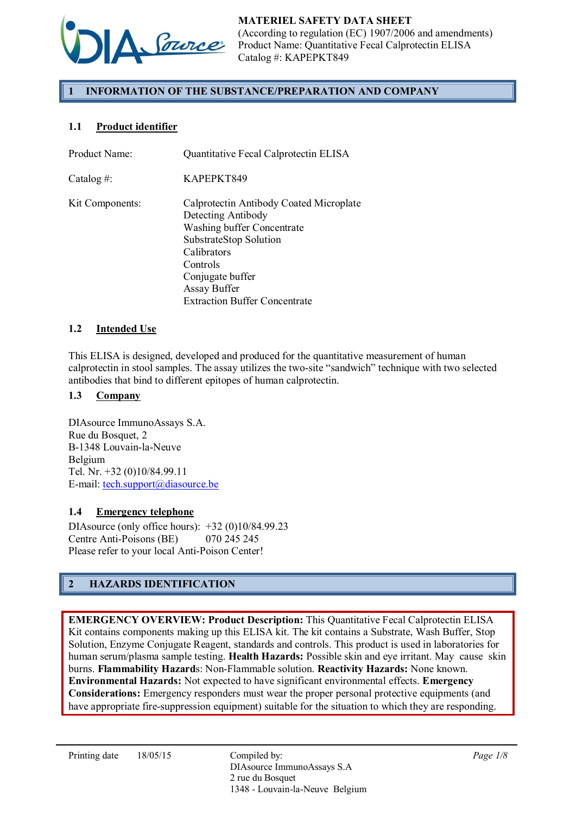

# 1 INFORMATION OF THE SUBSTANCE/PREPARATION AND COMPANY

# 1.1 Product identifier

| Product Name:   | Quantitative Fecal Calprotectin ELISA                                                                                                                                                       |
|-----------------|---------------------------------------------------------------------------------------------------------------------------------------------------------------------------------------------|
| Catalog #:      | KAPEPKT849                                                                                                                                                                                  |
| Kit Components: | Calprotectin Antibody Coated Microplate<br>Detecting Antibody<br><b>Washing buffer Concentrate</b><br>SubstrateStop Solution<br>Calibrators<br>Controls<br>Conjugate buffer<br>Assay Buffer |
|                 | <b>Extraction Buffer Concentrate</b>                                                                                                                                                        |

### 1.2 Intended Use

This ELISA is designed, developed and produced for the quantitative measurement of human calprotectin in stool samples. The assay utilizes the two-site "sandwich" technique with two selected antibodies that bind to different epitopes of human calprotectin.

#### 1.3 Company

DIAsource ImmunoAssays S.A. Rue du Bosquet, 2 B-1348 Louvain-la-Neuve Belgium Tel. Nr. +32 (0)10/84.99.11 E-mail: tech.support@diasource.be

### 1.4 Emergency telephone

DIAsource (only office hours): +32 (0)10/84.99.23 Centre Anti-Poisons (BE) 070 245 245 Please refer to your local Anti-Poison Center!

# 2 HAZARDS IDENTIFICATION

EMERGENCY OVERVIEW: Product Description: This Quantitative Fecal Calprotectin ELISA Kit contains components making up this ELISA kit. The kit contains a Substrate, Wash Buffer, Stop Solution, Enzyme Conjugate Reagent, standards and controls. This product is used in laboratories for human serum/plasma sample testing. **Health Hazards:** Possible skin and eye irritant. May cause skin burns. Flammability Hazards: Non-Flammable solution. Reactivity Hazards: None known. Environmental Hazards: Not expected to have significant environmental effects. Emergency Considerations: Emergency responders must wear the proper personal protective equipments (and have appropriate fire-suppression equipment) suitable for the situation to which they are responding.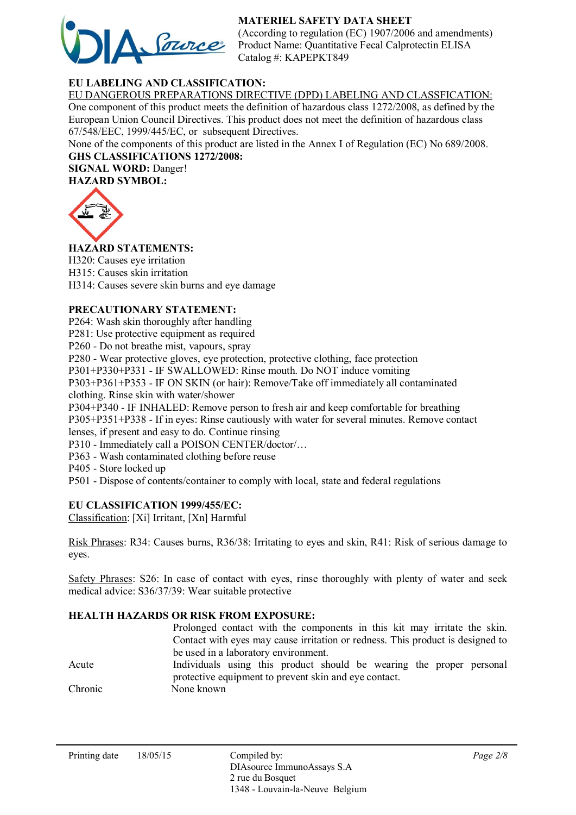# MATERIEL SAFETY DATA SHEET



(According to regulation (EC) 1907/2006 and amendments) Product Name: Quantitative Fecal Calprotectin ELISA Catalog #: KAPEPKT849

# EU LABELING AND CLASSIFICATION:

EU DANGEROUS PREPARATIONS DIRECTIVE (DPD) LABELING AND CLASSFICATION: One component of this product meets the definition of hazardous class 1272/2008, as defined by the European Union Council Directives. This product does not meet the definition of hazardous class 67/548/EEC, 1999/445/EC, or subsequent Directives.

None of the components of this product are listed in the Annex I of Regulation (EC) No 689/2008.

GHS CLASSIFICATIONS 1272/2008: SIGNAL WORD: Danger! HAZARD SYMBOL:

HAZARD STATEMENTS:

H320: Causes eye irritation H315: Causes skin irritation H314: Causes severe skin burns and eye damage

### PRECAUTIONARY STATEMENT:

P264: Wash skin thoroughly after handling

P281: Use protective equipment as required

P260 - Do not breathe mist, vapours, spray

P280 - Wear protective gloves, eye protection, protective clothing, face protection

P301+P330+P331 - IF SWALLOWED: Rinse mouth. Do NOT induce vomiting

P303+P361+P353 - IF ON SKIN (or hair): Remove/Take off immediately all contaminated clothing. Rinse skin with water/shower

P304+P340 - IF INHALED: Remove person to fresh air and keep comfortable for breathing P305+P351+P338 - If in eyes: Rinse cautiously with water for several minutes. Remove contact lenses, if present and easy to do. Continue rinsing

P310 - Immediately call a POISON CENTER/doctor/…

P363 - Wash contaminated clothing before reuse

P405 - Store locked up

P501 - Dispose of contents/container to comply with local, state and federal regulations

### EU CLASSIFICATION 1999/455/EC:

Classification: [Xi] Irritant, [Xn] Harmful

Risk Phrases: R34: Causes burns, R36/38: Irritating to eyes and skin, R41: Risk of serious damage to eyes.

Safety Phrases: S26: In case of contact with eyes, rinse thoroughly with plenty of water and seek medical advice: S36/37/39: Wear suitable protective

### HEALTH HAZARDS OR RISK FROM EXPOSURE:

|         | Prolonged contact with the components in this kit may irritate the skin.       |
|---------|--------------------------------------------------------------------------------|
|         | Contact with eyes may cause irritation or redness. This product is designed to |
|         | be used in a laboratory environment.                                           |
| Acute   | Individuals using this product should be wearing the proper personal           |
|         | protective equipment to prevent skin and eye contact.                          |
| Chronic | None known                                                                     |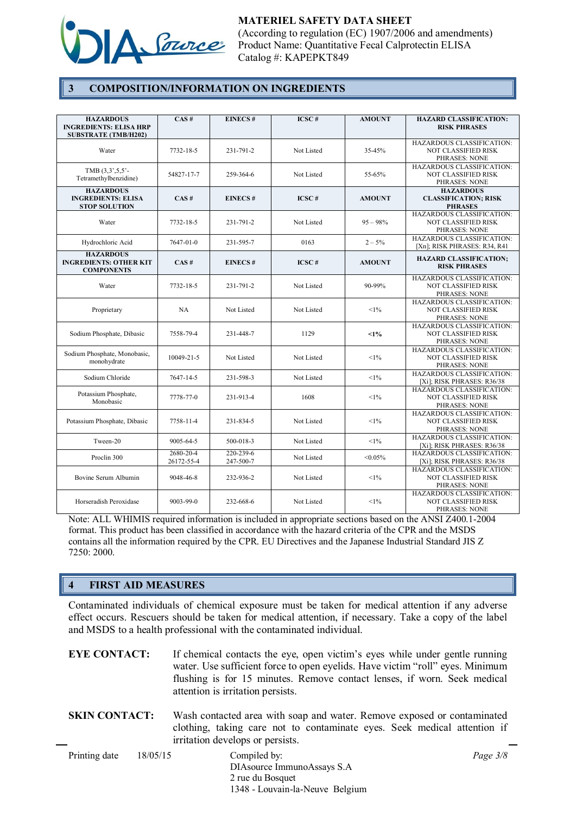

### 3 COMPOSITION/INFORMATION ON INGREDIENTS

| <b>HAZARDOUS</b><br><b>INGREDIENTS: ELISA HRP</b><br><b>SUBSTRATE (TMB/H202)</b> | CAS#                    | <b>EINECS#</b>         | $\overline{ICSC}$ # | <b>AMOUNT</b> | <b>HAZARD CLASSIFICATION:</b><br><b>RISK PHRASES</b>                            |
|----------------------------------------------------------------------------------|-------------------------|------------------------|---------------------|---------------|---------------------------------------------------------------------------------|
| Water                                                                            | 7732-18-5               | 231-791-2              | Not Listed          | 35-45%        | HAZARDOUS CLASSIFICATION:<br>NOT CLASSIFIED RISK<br>PHRASES: NONE               |
| TMB $(3,3',5,5')$ -<br>Tetramethylbenzidine)                                     | 54827-17-7              | 259-364-6              | Not Listed          | 55-65%        | HAZARDOUS CLASSIFICATION:<br>NOT CLASSIFIED RISK<br>PHRASES: NONE               |
| <b>HAZARDOUS</b><br><b>INGREDIENTS: ELISA</b><br><b>STOP SOLUTION</b>            | CAS#                    | <b>EINECS#</b>         | ICSC#               | <b>AMOUNT</b> | <b>HAZARDOUS</b><br><b>CLASSIFICATION; RISK</b><br><b>PHRASES</b>               |
| Water                                                                            | 7732-18-5               | 231-791-2              | Not Listed          | $95 - 98\%$   | HAZARDOUS CLASSIFICATION:<br><b>NOT CLASSIFIED RISK</b><br>PHRASES: NONE        |
| Hydrochloric Acid                                                                | 7647-01-0               | 231-595-7              | 0163                | $2 - 5\%$     | <b>HAZARDOUS CLASSIFICATION:</b><br>[Xn]; RISK PHRASES: R34, R41                |
| <b>HAZARDOUS</b><br><b>INGREDIENTS: OTHER KIT</b><br><b>COMPONENTS</b>           | CAS#                    | <b>EINECS#</b>         | ICSC#               | <b>AMOUNT</b> | <b>HAZARD CLASSIFICATION;</b><br><b>RISK PHRASES</b>                            |
| Water                                                                            | 7732-18-5               | 231-791-2              | Not Listed          | 90-99%        | <b>HAZARDOUS CLASSIFICATION:</b><br>NOT CLASSIFIED RISK<br>PHRASES: NONE        |
| Proprietary                                                                      | NA                      | Not Listed             | Not Listed          | $<1\%$        | HAZARDOUS CLASSIFICATION:<br><b>NOT CLASSIFIED RISK</b><br>PHRASES: NONE        |
| Sodium Phosphate, Dibasic                                                        | 7558-79-4               | 231-448-7              | 1129                | $1\%$         | HAZARDOUS CLASSIFICATION:<br>NOT CLASSIFIED RISK<br>PHRASES: NONE               |
| Sodium Phosphate, Monobasic,<br>monohydrate                                      | 10049-21-5              | Not Listed             | Not Listed          | <1%           | <b>HAZARDOUS CLASSIFICATION:</b><br>NOT CLASSIFIED RISK<br>PHRASES: NONE        |
| Sodium Chloride                                                                  | 7647-14-5               | 231-598-3              | Not Listed          | $<1\%$        | HAZARDOUS CLASSIFICATION:<br>[Xi]; RISK PHRASES: R36/38                         |
| Potassium Phosphate,<br>Monobasic                                                | 7778-77-0               | 231-913-4              | 1608                | <1%           | HAZARDOUS CLASSIFICATION:<br><b>NOT CLASSIFIED RISK</b><br><b>PHRASES: NONE</b> |
| Potassium Phosphate, Dibasic                                                     | 7758-11-4               | 231-834-5              | Not Listed          | <1%           | HAZARDOUS CLASSIFICATION:<br>NOT CLASSIFIED RISK<br>PHRASES: NONE               |
| Tween-20                                                                         | 9005-64-5               | 500-018-3              | Not Listed          | <1%           | <b>HAZARDOUS CLASSIFICATION:</b><br>[Xi]; RISK PHRASES: R36/38                  |
| Proclin 300                                                                      | 2680-20-4<br>26172-55-4 | 220-239-6<br>247-500-7 | Not Listed          | $< 0.05\%$    | HAZARDOUS CLASSIFICATION:<br>[Xi]; RISK PHRASES: R36/38                         |
| Bovine Serum Albumin                                                             | 9048-46-8               | 232-936-2              | Not Listed          | $<1\%$        | <b>HAZARDOUS CLASSIFICATION:</b><br>NOT CLASSIFIED RISK<br>PHRASES: NONE        |
| Horseradish Peroxidase                                                           | 9003-99-0               | 232-668-6              | Not Listed          | $<1\%$        | HAZARDOUS CLASSIFICATION:<br>NOT CLASSIFIED RISK<br>PHRASES: NONE               |

Note: ALL WHIMIS required information is included in appropriate sections based on the ANSI Z400.1-2004 format. This product has been classified in accordance with the hazard criteria of the CPR and the MSDS contains all the information required by the CPR. EU Directives and the Japanese Industrial Standard JIS Z 7250: 2000.

#### 4 FIRST AID MEASURES

Contaminated individuals of chemical exposure must be taken for medical attention if any adverse effect occurs. Rescuers should be taken for medical attention, if necessary. Take a copy of the label and MSDS to a health professional with the contaminated individual.

| EYE CONTACT: | If chemical contacts the eye, open victim's eyes while under gentle running   |
|--------------|-------------------------------------------------------------------------------|
|              | water. Use sufficient force to open eyelids. Have victim "roll" eyes. Minimum |
|              | flushing is for 15 minutes. Remove contact lenses, if worn. Seek medical      |
|              | attention is irritation persists.                                             |

SKIN CONTACT: Wash contacted area with soap and water. Remove exposed or contaminated clothing, taking care not to contaminate eyes. Seek medical attention if irritation develops or persists.

| Printing date | 18/05/15 | Compiled by:                    |  |  |
|---------------|----------|---------------------------------|--|--|
|               |          | DIAsource ImmunoAssays S.A.     |  |  |
|               |          | 2 rue du Bosquet                |  |  |
|               |          | 1348 - Louvain-la-Neuve Belgium |  |  |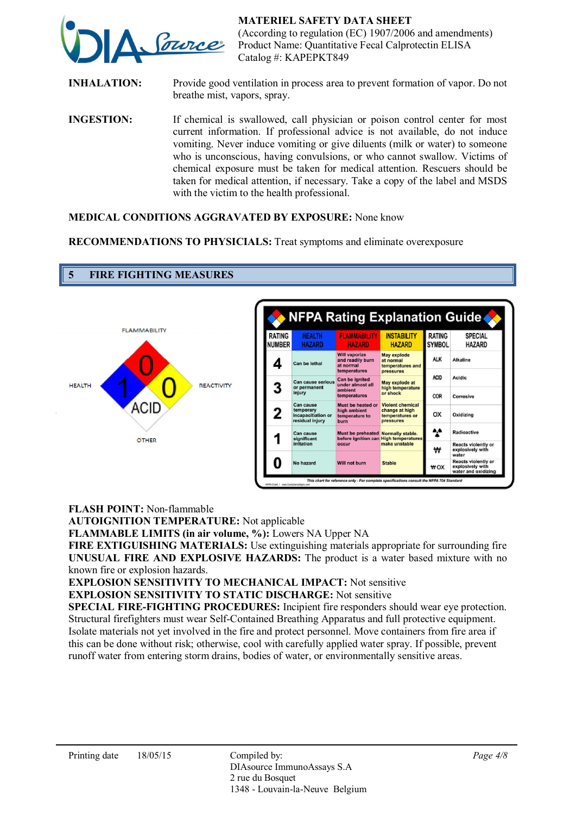

INHALATION: Provide good ventilation in process area to prevent formation of vapor. Do not breathe mist, vapors, spray.

INGESTION: If chemical is swallowed, call physician or poison control center for most current information. If professional advice is not available, do not induce vomiting. Never induce vomiting or give diluents (milk or water) to someone who is unconscious, having convulsions, or who cannot swallow. Victims of chemical exposure must be taken for medical attention. Rescuers should be taken for medical attention, if necessary. Take a copy of the label and MSDS with the victim to the health professional.

#### MEDICAL CONDITIONS AGGRAVATED BY EXPOSURE: None know

RECOMMENDATIONS TO PHYSICIALS: Treat symptoms and eliminate overexposure



FLASH POINT: Non-flammable

5 FIRE FIGHTING MEASURES

AUTOIGNITION TEMPERATURE: Not applicable

FLAMMABLE LIMITS (in air volume, %): Lowers NA Upper NA

FIRE EXTIGUISHING MATERIALS: Use extinguishing materials appropriate for surrounding fire UNUSUAL FIRE AND EXPLOSIVE HAZARDS: The product is a water based mixture with no known fire or explosion hazards.

EXPLOSION SENSITIVITY TO MECHANICAL IMPACT: Not sensitive

EXPLOSION SENSITIVITY TO STATIC DISCHARGE: Not sensitive

SPECIAL FIRE-FIGHTING PROCEDURES: Incipient fire responders should wear eye protection. Structural firefighters must wear Self-Contained Breathing Apparatus and full protective equipment. Isolate materials not yet involved in the fire and protect personnel. Move containers from fire area if this can be done without risk; otherwise, cool with carefully applied water spray. If possible, prevent runoff water from entering storm drains, bodies of water, or environmentally sensitive areas.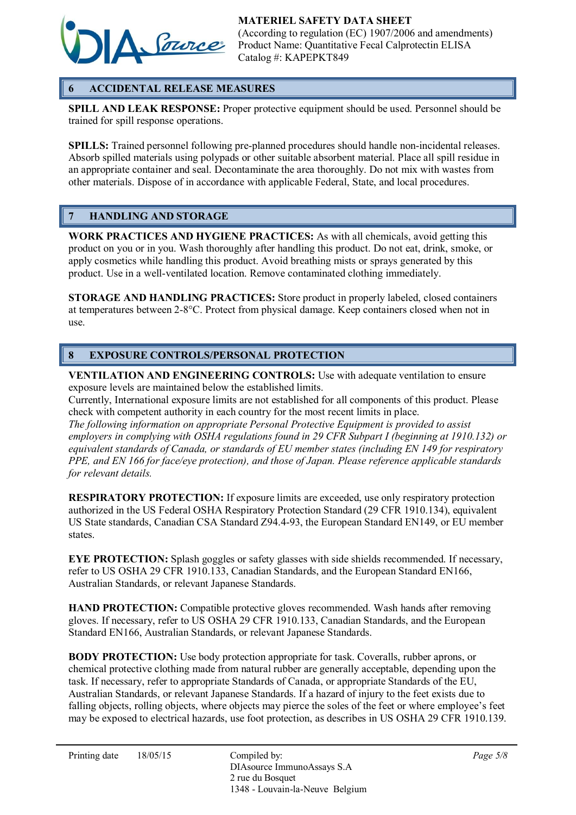

# 6 ACCIDENTAL RELEASE MEASURES

SPILL AND LEAK RESPONSE: Proper protective equipment should be used. Personnel should be trained for spill response operations.

SPILLS: Trained personnel following pre-planned procedures should handle non-incidental releases. Absorb spilled materials using polypads or other suitable absorbent material. Place all spill residue in an appropriate container and seal. Decontaminate the area thoroughly. Do not mix with wastes from other materials. Dispose of in accordance with applicable Federal, State, and local procedures.

## 7 HANDLING AND STORAGE

WORK PRACTICES AND HYGIENE PRACTICES: As with all chemicals, avoid getting this product on you or in you. Wash thoroughly after handling this product. Do not eat, drink, smoke, or apply cosmetics while handling this product. Avoid breathing mists or sprays generated by this product. Use in a well-ventilated location. Remove contaminated clothing immediately.

STORAGE AND HANDLING PRACTICES: Store product in properly labeled, closed containers at temperatures between 2-8°C. Protect from physical damage. Keep containers closed when not in use.

## 8 EXPOSURE CONTROLS/PERSONAL PROTECTION

VENTILATION AND ENGINEERING CONTROLS: Use with adequate ventilation to ensure exposure levels are maintained below the established limits.

Currently, International exposure limits are not established for all components of this product. Please check with competent authority in each country for the most recent limits in place.

*The following information on appropriate Personal Protective Equipment is provided to assist employers in complying with OSHA regulations found in 29 CFR Subpart I (beginning at 1910.132) or equivalent standards of Canada, or standards of EU member states (including EN 149 for respiratory PPE, and EN 166 for face/eye protection), and those of Japan. Please reference applicable standards for relevant details.* 

RESPIRATORY PROTECTION: If exposure limits are exceeded, use only respiratory protection authorized in the US Federal OSHA Respiratory Protection Standard (29 CFR 1910.134), equivalent US State standards, Canadian CSA Standard Z94.4-93, the European Standard EN149, or EU member states.

EYE PROTECTION: Splash goggles or safety glasses with side shields recommended. If necessary, refer to US OSHA 29 CFR 1910.133, Canadian Standards, and the European Standard EN166, Australian Standards, or relevant Japanese Standards.

HAND PROTECTION: Compatible protective gloves recommended. Wash hands after removing gloves. If necessary, refer to US OSHA 29 CFR 1910.133, Canadian Standards, and the European Standard EN166, Australian Standards, or relevant Japanese Standards.

BODY PROTECTION: Use body protection appropriate for task. Coveralls, rubber aprons, or chemical protective clothing made from natural rubber are generally acceptable, depending upon the task. If necessary, refer to appropriate Standards of Canada, or appropriate Standards of the EU, Australian Standards, or relevant Japanese Standards. If a hazard of injury to the feet exists due to falling objects, rolling objects, where objects may pierce the soles of the feet or where employee's feet may be exposed to electrical hazards, use foot protection, as describes in US OSHA 29 CFR 1910.139.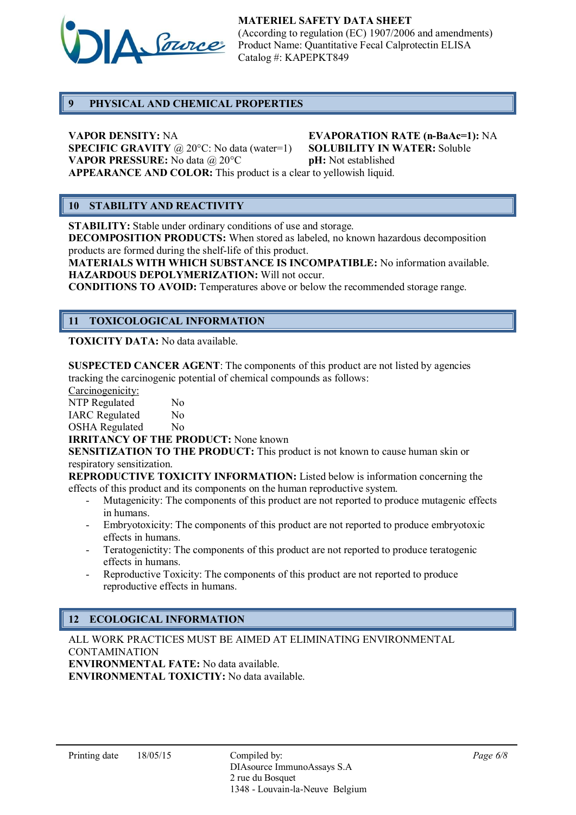

### 9 PHYSICAL AND CHEMICAL PROPERTIES

VAPOR DENSITY: NA<br>
SPECIFIC GRAVITY @ 20°C: No data (water=1) SOLUBILITY IN WATER: Soluble **SPECIFIC GRAVITY** @ 20 $^{\circ}$ C: No data (water=1) **VAPOR PRESSURE:** No data  $\omega$  20°C **pH:** Not established APPEARANCE AND COLOR: This product is a clear to yellowish liquid.

# 10 STABILITY AND REACTIVITY

STABILITY: Stable under ordinary conditions of use and storage.

DECOMPOSITION PRODUCTS: When stored as labeled, no known hazardous decomposition products are formed during the shelf-life of this product.

MATERIALS WITH WHICH SUBSTANCE IS INCOMPATIBLE: No information available. HAZARDOUS DEPOLYMERIZATION: Will not occur.

CONDITIONS TO AVOID: Temperatures above or below the recommended storage range.

## 11 TOXICOLOGICAL INFORMATION

TOXICITY DATA: No data available.

SUSPECTED CANCER AGENT: The components of this product are not listed by agencies tracking the carcinogenic potential of chemical compounds as follows:

Carcinogenicity:

NTP Regulated No IARC Regulated No

OSHA Regulated No

IRRITANCY OF THE PRODUCT: None known

SENSITIZATION TO THE PRODUCT: This product is not known to cause human skin or respiratory sensitization.

REPRODUCTIVE TOXICITY INFORMATION: Listed below is information concerning the effects of this product and its components on the human reproductive system.

- Mutagenicity: The components of this product are not reported to produce mutagenic effects in humans.
- Embryotoxicity: The components of this product are not reported to produce embryotoxic effects in humans.
- Teratogenictity: The components of this product are not reported to produce teratogenic effects in humans.
- Reproductive Toxicity: The components of this product are not reported to produce reproductive effects in humans.

# 12 ECOLOGICAL INFORMATION

ALL WORK PRACTICES MUST BE AIMED AT ELIMINATING ENVIRONMENTAL CONTAMINATION ENVIRONMENTAL FATE: No data available. ENVIRONMENTAL TOXICTIY: No data available.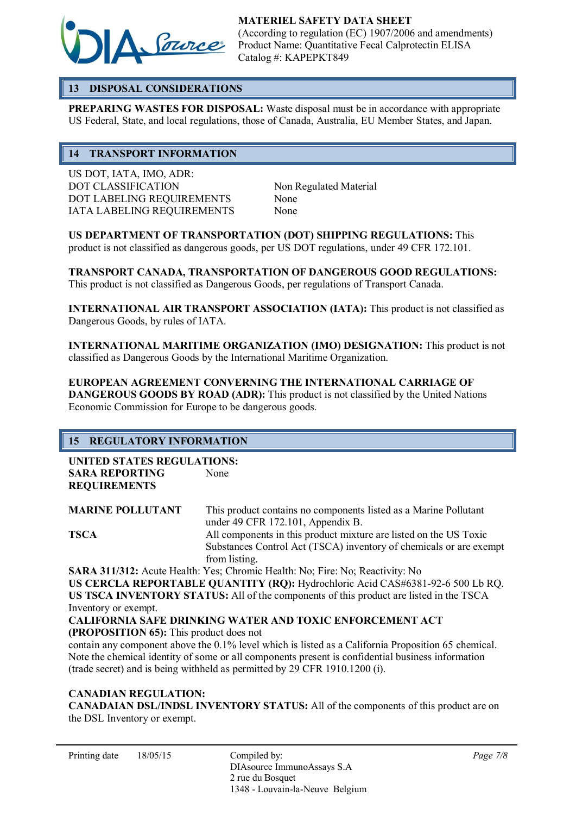

## 13 DISPOSAL CONSIDERATIONS

PREPARING WASTES FOR DISPOSAL: Waste disposal must be in accordance with appropriate US Federal, State, and local regulations, those of Canada, Australia, EU Member States, and Japan.

### 14 TRANSPORT INFORMATION

US DOT, IATA, IMO, ADR: DOT CLASSIFICATION Non Regulated Material DOT LABELING REQUIREMENTS None IATA LABELING REQUIREMENTS None

US DEPARTMENT OF TRANSPORTATION (DOT) SHIPPING REGULATIONS: This product is not classified as dangerous goods, per US DOT regulations, under 49 CFR 172.101.

TRANSPORT CANADA, TRANSPORTATION OF DANGEROUS GOOD REGULATIONS: This product is not classified as Dangerous Goods, per regulations of Transport Canada.

INTERNATIONAL AIR TRANSPORT ASSOCIATION (IATA): This product is not classified as Dangerous Goods, by rules of IATA.

INTERNATIONAL MARITIME ORGANIZATION (IMO) DESIGNATION: This product is not classified as Dangerous Goods by the International Maritime Organization.

EUROPEAN AGREEMENT CONVERNING THE INTERNATIONAL CARRIAGE OF DANGEROUS GOODS BY ROAD (ADR): This product is not classified by the United Nations Economic Commission for Europe to be dangerous goods.

# 15 REGULATORY INFORMATION

UNITED STATES REGULATIONS: SARA REPORTING None REQUIREMENTS

MARINE POLLUTANT This product contains no components listed as a Marine Pollutant under 49 CFR 172.101, Appendix B. TSCA All components in this product mixture are listed on the US Toxic Substances Control Act (TSCA) inventory of chemicals or are exempt from listing.

SARA 311/312: Acute Health: Yes; Chromic Health: No; Fire: No; Reactivity: No US CERCLA REPORTABLE QUANTITY (RQ): Hydrochloric Acid CAS#6381-92-6 500 Lb RQ. US TSCA INVENTORY STATUS: All of the components of this product are listed in the TSCA Inventory or exempt.

CALIFORNIA SAFE DRINKING WATER AND TOXIC ENFORCEMENT ACT (PROPOSITION 65): This product does not

contain any component above the 0.1% level which is listed as a California Proposition 65 chemical. Note the chemical identity of some or all components present is confidential business information (trade secret) and is being withheld as permitted by 29 CFR 1910.1200 (i).

### CANADIAN REGULATION:

CANADAIAN DSL/INDSL INVENTORY STATUS: All of the components of this product are on the DSL Inventory or exempt.